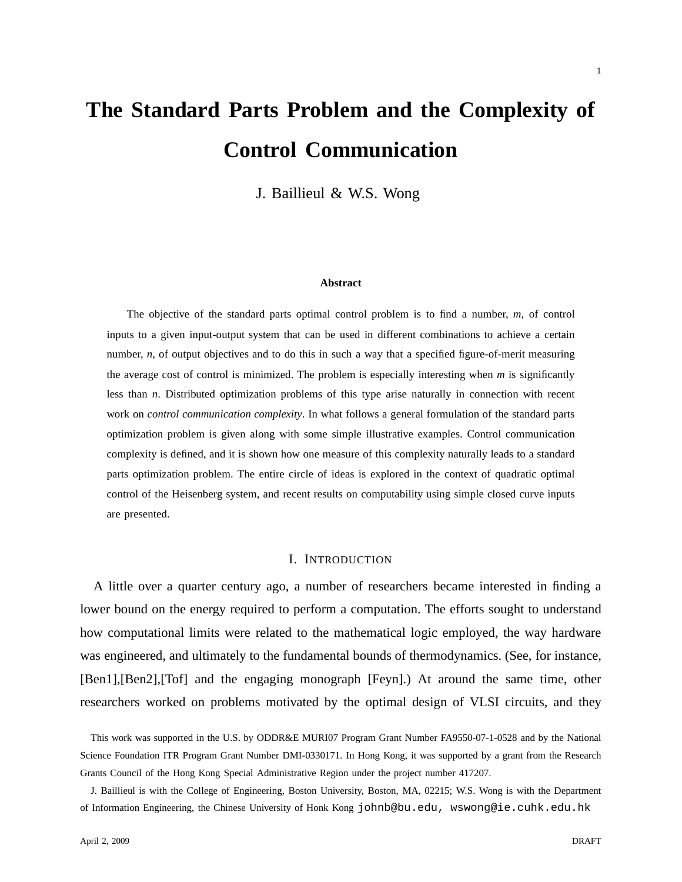# **The Standard Parts Problem and the Complexity of Control Communication**

J. Baillieul & W.S. Wong

#### **Abstract**

The objective of the standard parts optimal control problem is to find a number, *m*, of control inputs to a given input-output system that can be used in different combinations to achieve a certain number, *n*, of output objectives and to do this in such a way that a specified figure-of-merit measuring the average cost of control is minimized. The problem is especially interesting when  $m$  is significantly less than *n*. Distributed optimization problems of this type arise naturally in connection with recent work on *control communication complexity*. In what follows a general formulation of the standard parts optimization problem is given along with some simple illustrative examples. Control communication complexity is defined, and it is shown how one measure of this complexity naturally leads to a standard parts optimization problem. The entire circle of ideas is explored in the context of quadratic optimal control of the Heisenberg system, and recent results on computability using simple closed curve inputs are presented.

### I. INTRODUCTION

A little over a quarter century ago, a number of researchers became interested in finding a lower bound on the energy required to perform a computation. The efforts sought to understand how computational limits were related to the mathematical logic employed, the way hardware was engineered, and ultimately to the fundamental bounds of thermodynamics. (See, for instance, [Ben1],[Ben2],[Tof] and the engaging monograph [Feyn].) At around the same time, other researchers worked on problems motivated by the optimal design of VLSI circuits, and they

This work was supported in the U.S. by ODDR&E MURI07 Program Grant Number FA9550-07-1-0528 and by the National Science Foundation ITR Program Grant Number DMI-0330171. In Hong Kong, it was supported by a grant from the Research Grants Council of the Hong Kong Special Administrative Region under the project number 417207.

J. Baillieul is with the College of Engineering, Boston University, Boston, MA, 02215; W.S. Wong is with the Department of Information Engineering, the Chinese University of Honk Kong johnb@bu.edu, wswong@ie.cuhk.edu.hk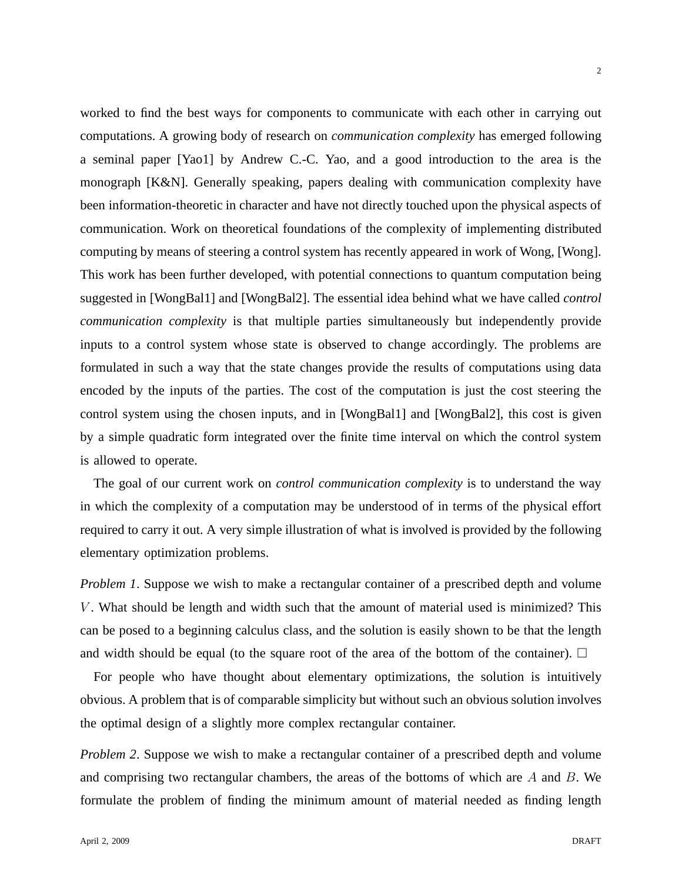2

worked to find the best ways for components to communicate with each other in carrying out computations. A growing body of research on *communication complexity* has emerged following a seminal paper [Yao1] by Andrew C.-C. Yao, and a good introduction to the area is the monograph [K&N]. Generally speaking, papers dealing with communication complexity have been information-theoretic in character and have not directly touched upon the physical aspects of communication. Work on theoretical foundations of the complexity of implementing distributed computing by means of steering a control system has recently appeared in work of Wong, [Wong]. This work has been further developed, with potential connections to quantum computation being suggested in [WongBal1] and [WongBal2]. The essential idea behind what we have called *control communication complexity* is that multiple parties simultaneously but independently provide inputs to a control system whose state is observed to change accordingly. The problems are formulated in such a way that the state changes provide the results of computations using data encoded by the inputs of the parties. The cost of the computation is just the cost steering the control system using the chosen inputs, and in [WongBal1] and [WongBal2], this cost is given by a simple quadratic form integrated over the finite time interval on which the control system is allowed to operate.

The goal of our current work on *control communication complexity* is to understand the way in which the complexity of a computation may be understood of in terms of the physical effort required to carry it out. A very simple illustration of what is involved is provided by the following elementary optimization problems.

*Problem 1*. Suppose we wish to make a rectangular container of a prescribed depth and volume V. What should be length and width such that the amount of material used is minimized? This can be posed to a beginning calculus class, and the solution is easily shown to be that the length and width should be equal (to the square root of the area of the bottom of the container).  $\Box$ 

For people who have thought about elementary optimizations, the solution is intuitively obvious. A problem that is of comparable simplicity but without such an obvious solution involves the optimal design of a slightly more complex rectangular container.

*Problem 2*. Suppose we wish to make a rectangular container of a prescribed depth and volume and comprising two rectangular chambers, the areas of the bottoms of which are A and B. We formulate the problem of finding the minimum amount of material needed as finding length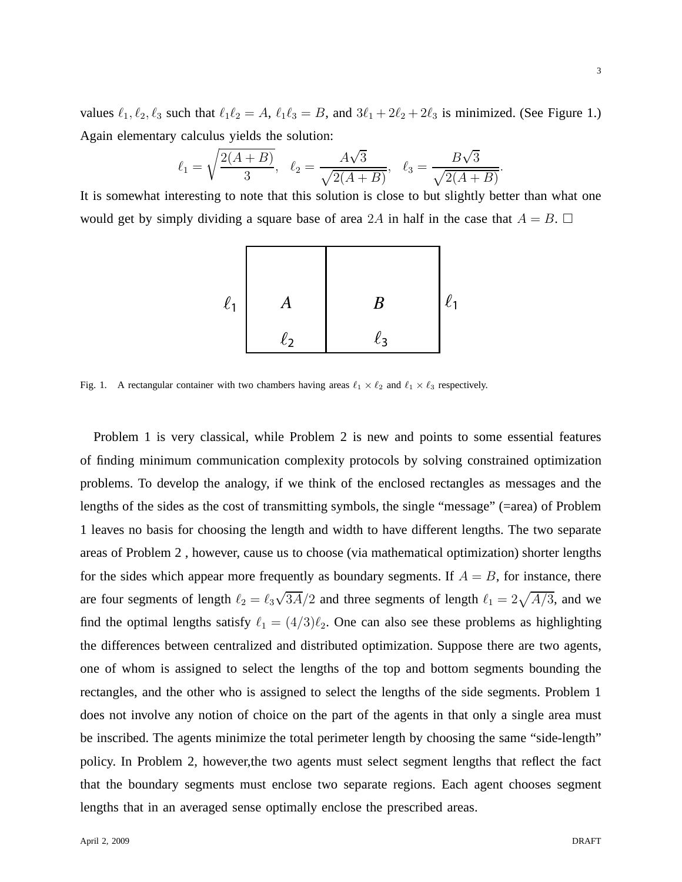values  $\ell_1, \ell_2, \ell_3$  such that  $\ell_1 \ell_2 = A$ ,  $\ell_1 \ell_3 = B$ , and  $3\ell_1 + 2\ell_2 + 2\ell_3$  is minimized. (See Figure 1.) Again elementary calculus yields the solution:

$$
\ell_1 = \sqrt{\frac{2(A+B)}{3}}, \quad \ell_2 = \frac{A\sqrt{3}}{\sqrt{2(A+B)}}, \quad \ell_3 = \frac{B\sqrt{3}}{\sqrt{2(A+B)}}
$$

It is somewhat interesting to note that this solution is close to but slightly better than what one would get by simply dividing a square base of area 2A in half in the case that  $A = B$ .  $\Box$ 



Fig. 1. A rectangular container with two chambers having areas  $\ell_1 \times \ell_2$  and  $\ell_1 \times \ell_3$  respectively.

Problem 1 is very classical, while Problem 2 is new and points to some essential features of finding minimum communication complexity protocols by solving constrained optimization problems. To develop the analogy, if we think of the enclosed rectangles as messages and the lengths of the sides as the cost of transmitting symbols, the single "message" (=area) of Problem 1 leaves no basis for choosing the length and width to have different lengths. The two separate areas of Problem 2 , however, cause us to choose (via mathematical optimization) shorter lengths for the sides which appear more frequently as boundary segments. If  $A = B$ , for instance, there are four segments of length  $\ell_2 = \ell_3\sqrt{3A}/2$  and three segments of length  $\ell_1 = 2\sqrt{A/3}$ , and we find the optimal lengths satisfy  $\ell_1 = (4/3)\ell_2$ . One can also see these problems as highlighting the differences between centralized and distributed optimization. Suppose there are two agents, one of whom is assigned to select the lengths of the top and bottom segments bounding the rectangles, and the other who is assigned to select the lengths of the side segments. Problem 1 does not involve any notion of choice on the part of the agents in that only a single area must be inscribed. The agents minimize the total perimeter length by choosing the same "side-length" policy. In Problem 2, however,the two agents must select segment lengths that reflect the fact that the boundary segments must enclose two separate regions. Each agent chooses segment lengths that in an averaged sense optimally enclose the prescribed areas.

.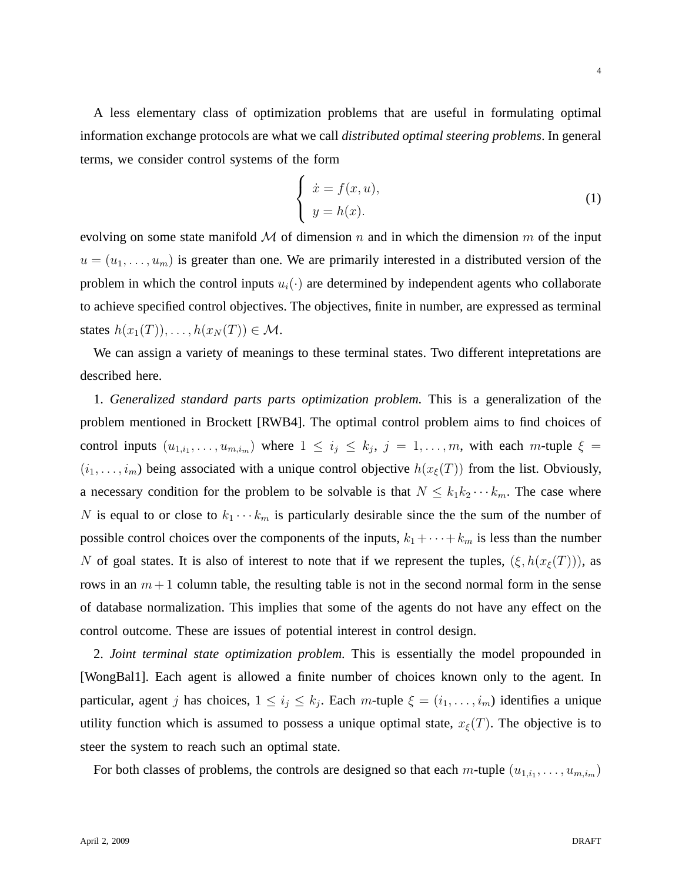A less elementary class of optimization problems that are useful in formulating optimal information exchange protocols are what we call *distributed optimal steering problems*. In general terms, we consider control systems of the form

$$
\begin{cases}\n\dot{x} = f(x, u), \\
y = h(x).\n\end{cases} (1)
$$

evolving on some state manifold  $M$  of dimension n and in which the dimension m of the input  $u = (u_1, \dots, u_m)$  is greater than one. We are primarily interested in a distributed version of the problem in which the control inputs  $u_i(\cdot)$  are determined by independent agents who collaborate to achieve specified control objectives. The objectives, finite in number, are expressed as terminal states  $h(x_1(T)), \ldots, h(x_N(T)) \in \mathcal{M}$ .

We can assign a variety of meanings to these terminal states. Two different intepretations are described here.

1. *Generalized standard parts parts optimization problem.* This is a generalization of the problem mentioned in Brockett [RWB4]. The optimal control problem aims to find choices of control inputs  $(u_{1,i_1},...,u_{m,i_m})$  where  $1 \leq i_j \leq k_j$ ,  $j = 1,...,m$ , with each m-tuple  $\xi =$  $(i_1, \ldots, i_m)$  being associated with a unique control objective  $h(x_{\xi}(T))$  from the list. Obviously, a necessary condition for the problem to be solvable is that  $N \leq k_1 k_2 \cdots k_m$ . The case where N is equal to or close to  $k_1 \cdots k_m$  is particularly desirable since the the sum of the number of possible control choices over the components of the inputs,  $k_1 + \cdots + k_m$  is less than the number N of goal states. It is also of interest to note that if we represent the tuples,  $(\xi, h(x_{\xi}(T)))$ , as rows in an  $m+1$  column table, the resulting table is not in the second normal form in the sense of database normalization. This implies that some of the agents do not have any effect on the control outcome. These are issues of potential interest in control design.

2. *Joint terminal state optimization problem.* This is essentially the model propounded in [WongBal1]. Each agent is allowed a finite number of choices known only to the agent. In particular, agent j has choices,  $1 \le i_j \le k_j$ . Each m-tuple  $\xi = (i_1, \ldots, i_m)$  identifies a unique utility function which is assumed to possess a unique optimal state,  $x_{\xi}(T)$ . The objective is to steer the system to reach such an optimal state.

For both classes of problems, the controls are designed so that each m-tuple  $(u_{1,i_1},...,u_{m,i_m})$ 

4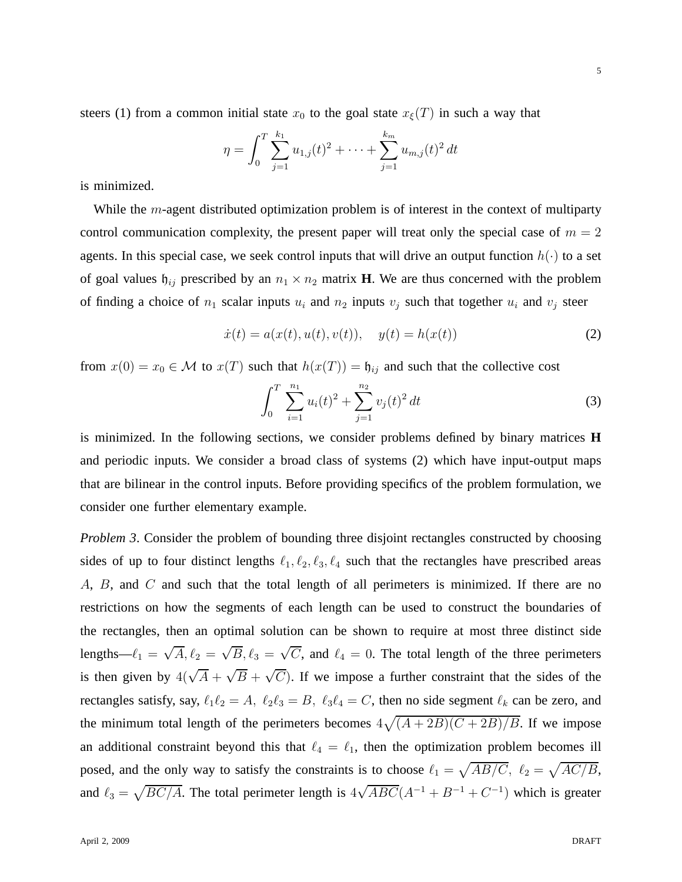steers (1) from a common initial state  $x_0$  to the goal state  $x_{\xi}(T)$  in such a way that

$$
\eta = \int_0^T \sum_{j=1}^{k_1} u_{1,j}(t)^2 + \dots + \sum_{j=1}^{k_m} u_{m,j}(t)^2 dt
$$

is minimized.

While the  $m$ -agent distributed optimization problem is of interest in the context of multiparty control communication complexity, the present paper will treat only the special case of  $m = 2$ agents. In this special case, we seek control inputs that will drive an output function  $h(\cdot)$  to a set of goal values  $\mathfrak{h}_{ij}$  prescribed by an  $n_1 \times n_2$  matrix **H**. We are thus concerned with the problem of finding a choice of  $n_1$  scalar inputs  $u_i$  and  $n_2$  inputs  $v_j$  such that together  $u_i$  and  $v_j$  steer

$$
\dot{x}(t) = a(x(t), u(t), v(t)), \quad y(t) = h(x(t))
$$
\n(2)

from  $x(0) = x_0 \in M$  to  $x(T)$  such that  $h(x(T)) = \mathfrak{h}_{ij}$  and such that the collective cost

$$
\int_0^T \sum_{i=1}^{n_1} u_i(t)^2 + \sum_{j=1}^{n_2} v_j(t)^2 dt
$$
 (3)

is minimized. In the following sections, we consider problems defined by binary matrices **H** and periodic inputs. We consider a broad class of systems (2) which have input-output maps that are bilinear in the control inputs. Before providing specifics of the problem formulation, we consider one further elementary example.

*Problem 3*. Consider the problem of bounding three disjoint rectangles constructed by choosing sides of up to four distinct lengths  $\ell_1, \ell_2, \ell_3, \ell_4$  such that the rectangles have prescribed areas  $A, B,$  and  $C$  and such that the total length of all perimeters is minimized. If there are no restrictions on how the segments of each length can be used to construct the boundaries of the rectangles, then an optimal solution can be shown to require at most three distinct side lengths— $\ell_1 = \sqrt{A}, \ell_2 = \sqrt{B}, \ell_3 = \sqrt{C}$ , and  $\ell_4 = 0$ . The total length of the three perimeters is then given by  $4(\sqrt{A} + \sqrt{B} + \sqrt{C})$ . If we impose a further constraint that the sides of the rectangles satisfy, say,  $\ell_1 \ell_2 = A$ ,  $\ell_2 \ell_3 = B$ ,  $\ell_3 \ell_4 = C$ , then no side segment  $\ell_k$  can be zero, and the minimum total length of the perimeters becomes  $4\sqrt{(A+2B)(C+2B)/B}$ . If we impose an additional constraint beyond this that  $\ell_4 = \ell_1$ , then the optimization problem becomes ill posed, and the only way to satisfy the constraints is to choose  $\ell_1 = \sqrt{AB/C}$ ,  $\ell_2 = \sqrt{AC/B}$ , and  $\ell_3 = \sqrt{BC/A}$ . The total perimeter length is  $4\sqrt{ABC}(A^{-1} + B^{-1} + C^{-1})$  which is greater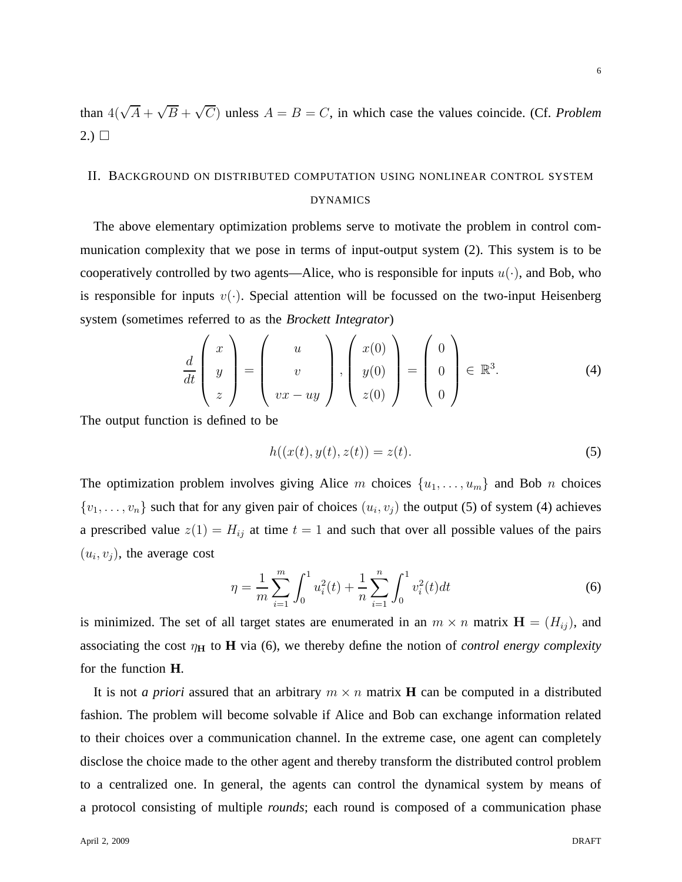than  $4(\sqrt{A} + \sqrt{B} + \sqrt{C})$  unless  $A = B = C$ , in which case the values coincide. (Cf. *Problem*)  $2.)\Box$ 

## II. BACKGROUND ON DISTRIBUTED COMPUTATION USING NONLINEAR CONTROL SYSTEM DYNAMICS

The above elementary optimization problems serve to motivate the problem in control communication complexity that we pose in terms of input-output system (2). This system is to be cooperatively controlled by two agents—Alice, who is responsible for inputs  $u(\cdot)$ , and Bob, who is responsible for inputs  $v(\cdot)$ . Special attention will be focussed on the two-input Heisenberg system (sometimes referred to as the *Brockett Integrator*)

$$
\frac{d}{dt}\begin{pmatrix} x \\ y \\ z \end{pmatrix} = \begin{pmatrix} u \\ v \\ vx - uy \end{pmatrix}, \begin{pmatrix} x(0) \\ y(0) \\ z(0) \end{pmatrix} = \begin{pmatrix} 0 \\ 0 \\ 0 \end{pmatrix} \in \mathbb{R}^3.
$$
 (4)

The output function is defined to be

$$
h((x(t), y(t), z(t)) = z(t).
$$
 (5)

The optimization problem involves giving Alice m choices  $\{u_1, \ldots, u_m\}$  and Bob n choices  $\{v_1, \ldots, v_n\}$  such that for any given pair of choices  $(u_i, v_j)$  the output (5) of system (4) achieves a prescribed value  $z(1) = H_{ij}$  at time  $t = 1$  and such that over all possible values of the pairs  $(u_i, v_j)$ , the average cost

$$
\eta = \frac{1}{m} \sum_{i=1}^{m} \int_{0}^{1} u_i^2(t) + \frac{1}{n} \sum_{i=1}^{n} \int_{0}^{1} v_i^2(t) dt
$$
\n(6)

is minimized. The set of all target states are enumerated in an  $m \times n$  matrix  $\mathbf{H} = (H_{ij})$ , and associating the cost  $\eta_H$  to **H** via (6), we thereby define the notion of *control energy complexity* for the function **H**.

It is not *a priori* assured that an arbitrary  $m \times n$  matrix **H** can be computed in a distributed fashion. The problem will become solvable if Alice and Bob can exchange information related to their choices over a communication channel. In the extreme case, one agent can completely disclose the choice made to the other agent and thereby transform the distributed control problem to a centralized one. In general, the agents can control the dynamical system by means of a protocol consisting of multiple *rounds*; each round is composed of a communication phase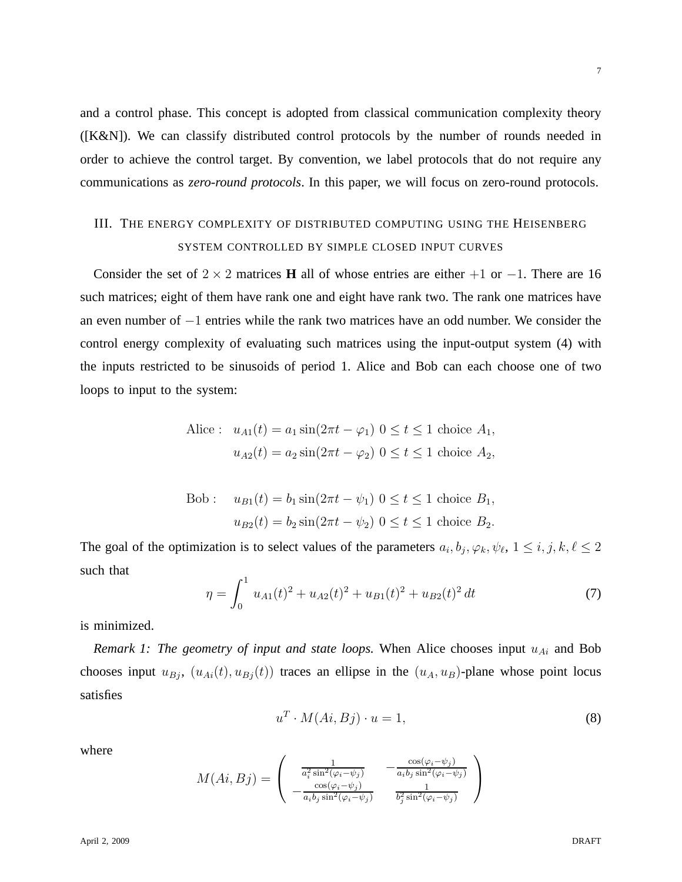and a control phase. This concept is adopted from classical communication complexity theory ([K&N]). We can classify distributed control protocols by the number of rounds needed in order to achieve the control target. By convention, we label protocols that do not require any communications as *zero-round protocols*. In this paper, we will focus on zero-round protocols.

## III. THE ENERGY COMPLEXITY OF DISTRIBUTED COMPUTING USING THE HEISENBERG SYSTEM CONTROLLED BY SIMPLE CLOSED INPUT CURVES

Consider the set of 2 × 2 matrices **H** all of whose entries are either +1 or −1. There are 16 such matrices; eight of them have rank one and eight have rank two. The rank one matrices have an even number of −1 entries while the rank two matrices have an odd number. We consider the control energy complexity of evaluating such matrices using the input-output system (4) with the inputs restricted to be sinusoids of period 1. Alice and Bob can each choose one of two loops to input to the system:

Alice: 
$$
u_{A1}(t) = a_1 \sin(2\pi t - \varphi_1) \ 0 \le t \le 1
$$
 choice  $A_1$ ,  $u_{A2}(t) = a_2 \sin(2\pi t - \varphi_2) \ 0 \le t \le 1$  choice  $A_2$ ,

Bob: 
$$
u_{B1}(t) = b_1 \sin(2\pi t - \psi_1) \quad 0 \le t \le 1
$$
 choice  $B_1$ ,  
\n $u_{B2}(t) = b_2 \sin(2\pi t - \psi_2) \quad 0 \le t \le 1$  choice  $B_2$ .

The goal of the optimization is to select values of the parameters  $a_i, b_j, \varphi_k, \psi_\ell, 1 \leq i, j, k, \ell \leq 2$ such that

$$
\eta = \int_0^1 u_{A1}(t)^2 + u_{A2}(t)^2 + u_{B1}(t)^2 + u_{B2}(t)^2 dt \tag{7}
$$

is minimized.

*Remark 1: The geometry of input and state loops.* When Alice chooses input  $u_{Ai}$  and Bob chooses input  $u_{Bj}$ ,  $(u_{Ai}(t), u_{Bj}(t))$  traces an ellipse in the  $(u_A, u_B)$ -plane whose point locus satisfies

$$
u^T \cdot M(Ai, Bj) \cdot u = 1,\tag{8}
$$

where

$$
M(Ai, Bj) = \begin{pmatrix} \frac{1}{a_i^2 \sin^2(\varphi_i - \psi_j)} & -\frac{\cos(\varphi_i - \psi_j)}{a_i b_j \sin^2(\varphi_i - \psi_j)} \\ -\frac{\cos(\varphi_i - \psi_j)}{a_i b_j \sin^2(\varphi_i - \psi_j)} & \frac{1}{b_j^2 \sin^2(\varphi_i - \psi_j)} \end{pmatrix}
$$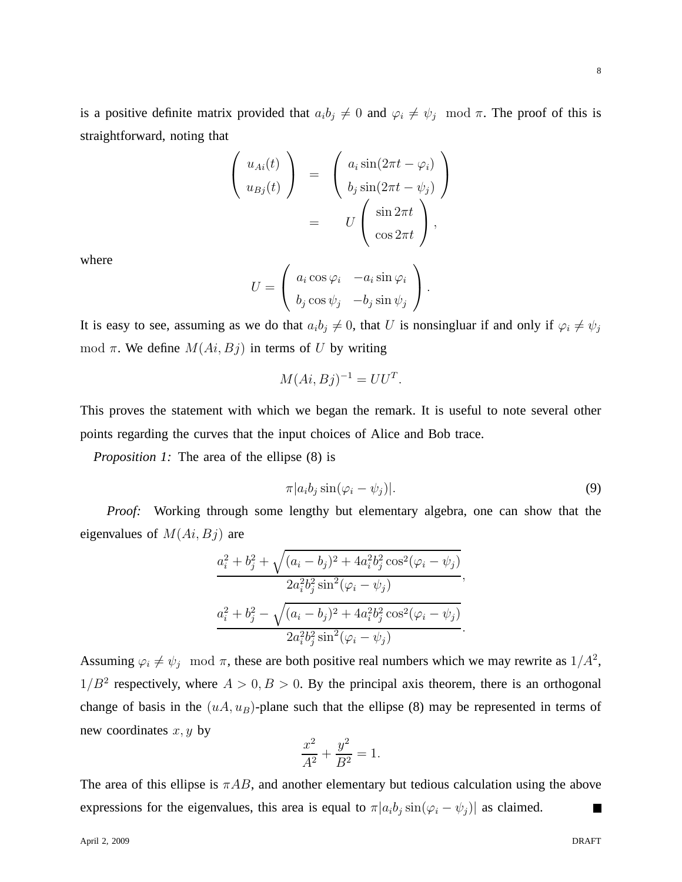is a positive definite matrix provided that  $a_ib_j \neq 0$  and  $\varphi_i \neq \psi_j \mod \pi$ . The proof of this is straightforward, noting that

$$
\begin{pmatrix}\nu_{Ai}(t) \\
u_{Bj}(t)\n\end{pmatrix} = \begin{pmatrix}\na_i \sin(2\pi t - \varphi_i) \\
b_j \sin(2\pi t - \psi_j)\n\end{pmatrix}
$$
\n
$$
= U \begin{pmatrix}\n\sin 2\pi t \\
\cos 2\pi t\n\end{pmatrix},
$$

where

$$
U = \begin{pmatrix} a_i \cos \varphi_i & -a_i \sin \varphi_i \\ b_j \cos \psi_j & -b_j \sin \psi_j \end{pmatrix}.
$$

It is easy to see, assuming as we do that  $a_ib_j \neq 0$ , that U is nonsingluar if and only if  $\varphi_i \neq \psi_j$ mod  $\pi$ . We define  $M(Ai, Bj)$  in terms of U by writing

$$
M(Ai, Bj)^{-1} = UU^T.
$$

This proves the statement with which we began the remark. It is useful to note several other points regarding the curves that the input choices of Alice and Bob trace.

*Proposition 1:* The area of the ellipse (8) is

$$
\pi |a_i b_j \sin(\varphi_i - \psi_j)|. \tag{9}
$$

*Proof:* Working through some lengthy but elementary algebra, one can show that the eigenvalues of  $M(Ai, Bj)$  are

$$
\frac{a_i^2 + b_j^2 + \sqrt{(a_i - b_j)^2 + 4a_i^2 b_j^2 \cos^2(\varphi_i - \psi_j)}}{2a_i^2 b_j^2 \sin^2(\varphi_i - \psi_j)},
$$
  

$$
\frac{a_i^2 + b_j^2 - \sqrt{(a_i - b_j)^2 + 4a_i^2 b_j^2 \cos^2(\varphi_i - \psi_j)}}{2a_i^2 b_j^2 \sin^2(\varphi_i - \psi_j)}.
$$

Assuming  $\varphi_i \neq \psi_j \mod \pi$ , these are both positive real numbers which we may rewrite as  $1/A^2$ ,  $1/B^2$  respectively, where  $A > 0, B > 0$ . By the principal axis theorem, there is an orthogonal change of basis in the  $(uA, u_B)$ -plane such that the ellipse (8) may be represented in terms of new coordinates  $x, y$  by

$$
\frac{x^2}{A^2} + \frac{y^2}{B^2} = 1.
$$

The area of this ellipse is  $\pi AB$ , and another elementary but tedious calculation using the above expressions for the eigenvalues, this area is equal to  $\pi |a_i b_j \sin(\varphi_i - \psi_j)|$  as claimed.  $\blacksquare$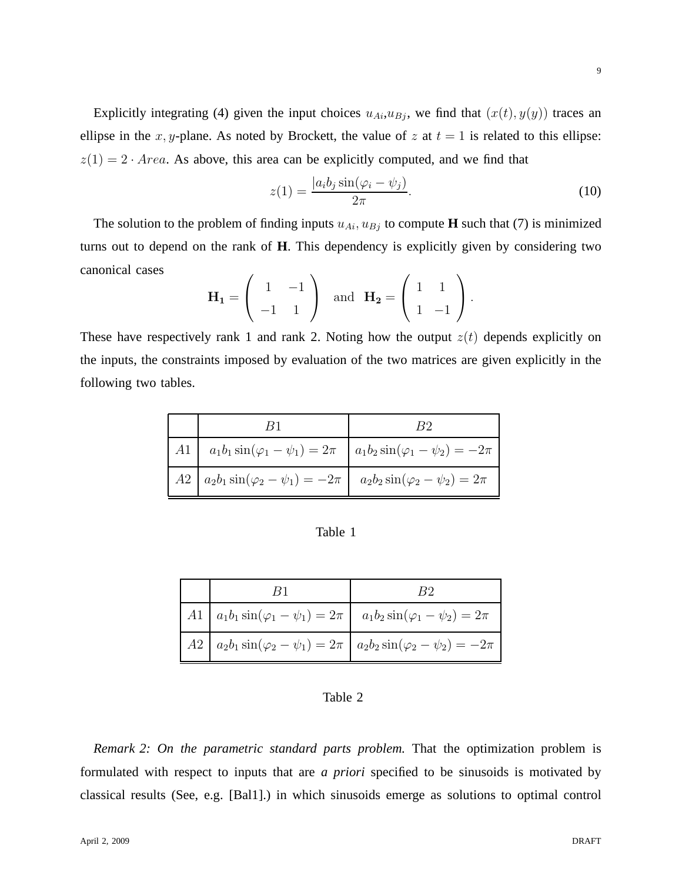Explicitly integrating (4) given the input choices  $u_{Ai}, u_{Bj}$ , we find that  $(x(t), y(y))$  traces an ellipse in the x, y-plane. As noted by Brockett, the value of z at  $t = 1$  is related to this ellipse:  $z(1) = 2 \cdot Area$ . As above, this area can be explicitly computed, and we find that

$$
z(1) = \frac{|a_i b_j \sin(\varphi_i - \psi_j)|}{2\pi}.
$$
\n(10)

The solution to the problem of finding inputs  $u_{Ai}$ ,  $u_{Bi}$  to compute **H** such that (7) is minimized turns out to depend on the rank of **H**. This dependency is explicitly given by considering two canonical cases

$$
\mathbf{H_1} = \left( \begin{array}{cc} 1 & -1 \\ -1 & 1 \end{array} \right) \quad \text{and} \quad \mathbf{H_2} = \left( \begin{array}{cc} 1 & 1 \\ 1 & -1 \end{array} \right).
$$

These have respectively rank 1 and rank 2. Noting how the output  $z(t)$  depends explicitly on the inputs, the constraints imposed by evaluation of the two matrices are given explicitly in the following two tables.

| A1   $a_1b_1\sin(\varphi_1 - \psi_1) = 2\pi$   $a_1b_2\sin(\varphi_1 - \psi_2) = -2\pi$     |  |
|---------------------------------------------------------------------------------------------|--|
| $A2 \mid a_2b_1\sin(\varphi_2 - \psi_1) = -2\pi \mid a_2b_2\sin(\varphi_2 - \psi_2) = 2\pi$ |  |

| l'able |  |
|--------|--|
|--------|--|

|  | A1   $a_1b_1 \sin(\varphi_1 - \psi_1) = 2\pi$   $a_1b_2 \sin(\varphi_1 - \psi_2) = 2\pi$ |
|--|------------------------------------------------------------------------------------------|
|  | A2 $a_2b_1 \sin(\varphi_2 - \psi_1) = 2\pi \int a_2b_2 \sin(\varphi_2 - \psi_2) = -2\pi$ |

## Table 2

*Remark 2: On the parametric standard parts problem.* That the optimization problem is formulated with respect to inputs that are *a priori* specified to be sinusoids is motivated by classical results (See, e.g. [Bal1].) in which sinusoids emerge as solutions to optimal control

9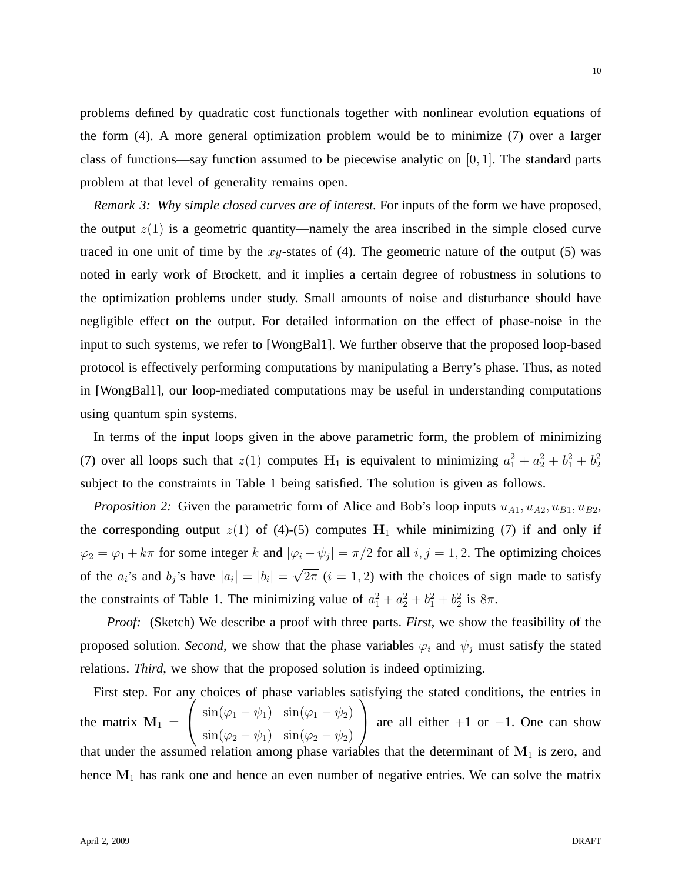problems defined by quadratic cost functionals together with nonlinear evolution equations of the form (4). A more general optimization problem would be to minimize (7) over a larger class of functions—say function assumed to be piecewise analytic on  $[0, 1]$ . The standard parts problem at that level of generality remains open.

*Remark 3: Why simple closed curves are of interest.* For inputs of the form we have proposed, the output  $z(1)$  is a geometric quantity—namely the area inscribed in the simple closed curve traced in one unit of time by the  $xy$ -states of (4). The geometric nature of the output (5) was noted in early work of Brockett, and it implies a certain degree of robustness in solutions to the optimization problems under study. Small amounts of noise and disturbance should have negligible effect on the output. For detailed information on the effect of phase-noise in the input to such systems, we refer to [WongBal1]. We further observe that the proposed loop-based protocol is effectively performing computations by manipulating a Berry's phase. Thus, as noted in [WongBal1], our loop-mediated computations may be useful in understanding computations using quantum spin systems.

In terms of the input loops given in the above parametric form, the problem of minimizing (7) over all loops such that  $z(1)$  computes  $H_1$  is equivalent to minimizing  $a_1^2 + a_2^2 + b_1^2 + b_2^2$ subject to the constraints in Table 1 being satisfied. The solution is given as follows.

*Proposition 2:* Given the parametric form of Alice and Bob's loop inputs  $u_{A1}, u_{A2}, u_{B1}, u_{B2}$ , the corresponding output  $z(1)$  of (4)-(5) computes  $H_1$  while minimizing (7) if and only if  $\varphi_2 = \varphi_1 + k\pi$  for some integer k and  $|\varphi_i - \psi_j| = \pi/2$  for all  $i, j = 1, 2$ . The optimizing choices of the  $a_i$ 's and  $b_j$ 's have  $|a_i| = |b_i| = \sqrt{2\pi}$   $(i = 1, 2)$  with the choices of sign made to satisfy the constraints of Table 1. The minimizing value of  $a_1^2 + a_2^2 + b_1^2 + b_2^2$  is  $8\pi$ .

*Proof:* (Sketch) We describe a proof with three parts. *First*, we show the feasibility of the proposed solution. *Second*, we show that the phase variables  $\varphi_i$  and  $\psi_j$  must satisfy the stated relations. *Third*, we show that the proposed solution is indeed optimizing.

First step. For any choices of phase variables satisfying the stated conditions, the entries in the matrix  $M_1$  =  $\sqrt{ }$  $\overline{1}$  $\sin(\varphi_1 - \psi_1) \quad \sin(\varphi_1 - \psi_2)$  $\sin(\varphi_2 - \psi_1) \quad \sin(\varphi_2 - \psi_2)$  $\setminus$ are all either  $+1$  or  $-1$ . One can show that under the assumed relation among phase variables that the determinant of  $M_1$  is zero, and hence  $M_1$  has rank one and hence an even number of negative entries. We can solve the matrix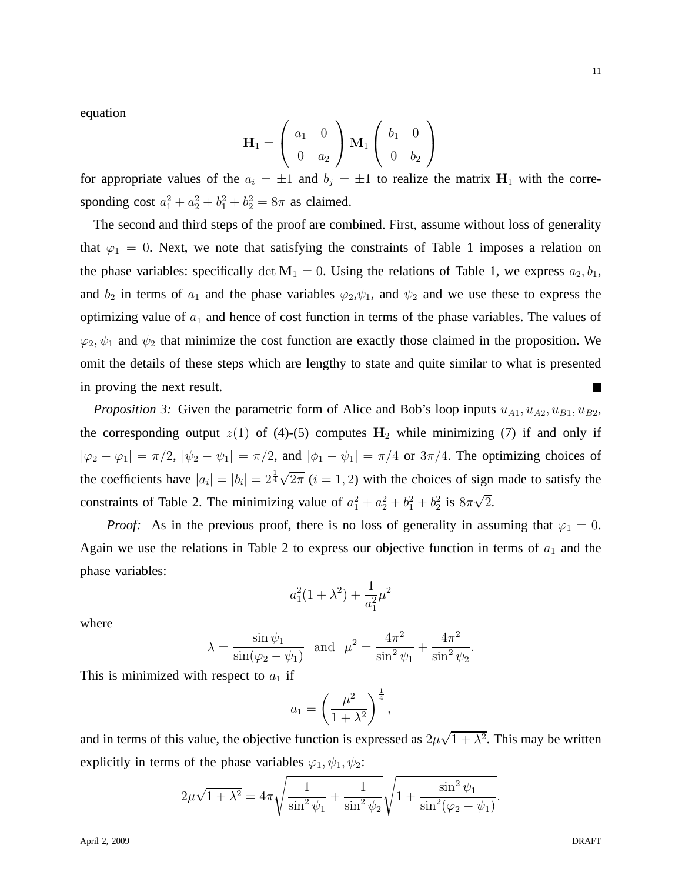equation

$$
\mathbf{H}_1 = \begin{pmatrix} a_1 & 0 \\ 0 & a_2 \end{pmatrix} \mathbf{M}_1 \begin{pmatrix} b_1 & 0 \\ 0 & b_2 \end{pmatrix}
$$

for appropriate values of the  $a_i = \pm 1$  and  $b_j = \pm 1$  to realize the matrix  $H_1$  with the corresponding cost  $a_1^2 + a_2^2 + b_1^2 + b_2^2 = 8\pi$  as claimed.

The second and third steps of the proof are combined. First, assume without loss of generality that  $\varphi_1 = 0$ . Next, we note that satisfying the constraints of Table 1 imposes a relation on the phase variables: specifically  $\det M_1 = 0$ . Using the relations of Table 1, we express  $a_2, b_1$ , and  $b_2$  in terms of  $a_1$  and the phase variables  $\varphi_2, \psi_1$ , and  $\psi_2$  and we use these to express the optimizing value of  $a_1$  and hence of cost function in terms of the phase variables. The values of  $\varphi_2, \psi_1$  and  $\psi_2$  that minimize the cost function are exactly those claimed in the proposition. We omit the details of these steps which are lengthy to state and quite similar to what is presented in proving the next result. П

*Proposition 3:* Given the parametric form of Alice and Bob's loop inputs  $u_{A1}, u_{A2}, u_{B1}, u_{B2}$ , the corresponding output  $z(1)$  of (4)-(5) computes  $H_2$  while minimizing (7) if and only if  $|\varphi_2 - \varphi_1| = \pi/2$ ,  $|\psi_2 - \psi_1| = \pi/2$ , and  $|\phi_1 - \psi_1| = \pi/4$  or  $3\pi/4$ . The optimizing choices of the coefficients have  $|a_i| = |b_i| = 2^{\frac{1}{4}}\sqrt{2\pi}$   $(i = 1, 2)$  with the choices of sign made to satisfy the constraints of Table 2. The minimizing value of  $a_1^2 + a_2^2 + b_1^2 + b_2^2$  is  $8\pi\sqrt{2}$ .

*Proof:* As in the previous proof, there is no loss of generality in assuming that  $\varphi_1 = 0$ . Again we use the relations in Table 2 to express our objective function in terms of  $a_1$  and the phase variables:

$$
a_1^2(1+\lambda^2) + \frac{1}{a_1^2}\mu^2
$$

where

$$
\lambda = \frac{\sin \psi_1}{\sin(\varphi_2 - \psi_1)}
$$
 and  $\mu^2 = \frac{4\pi^2}{\sin^2 \psi_1} + \frac{4\pi^2}{\sin^2 \psi_2}$ .

This is minimized with respect to  $a_1$  if

$$
a_1 = \left(\frac{\mu^2}{1+\lambda^2}\right)^{\frac{1}{4}},
$$

and in terms of this value, the objective function is expressed as  $2\mu\sqrt{1 + \lambda^2}$ . This may be written explicitly in terms of the phase variables  $\varphi_1, \psi_1, \psi_2$ :

$$
2\mu\sqrt{1+\lambda^2} = 4\pi\sqrt{\frac{1}{\sin^2\psi_1} + \frac{1}{\sin^2\psi_2}}\sqrt{1 + \frac{\sin^2\psi_1}{\sin^2(\varphi_2 - \psi_1)}}.
$$

April 2, 2009 DRAFT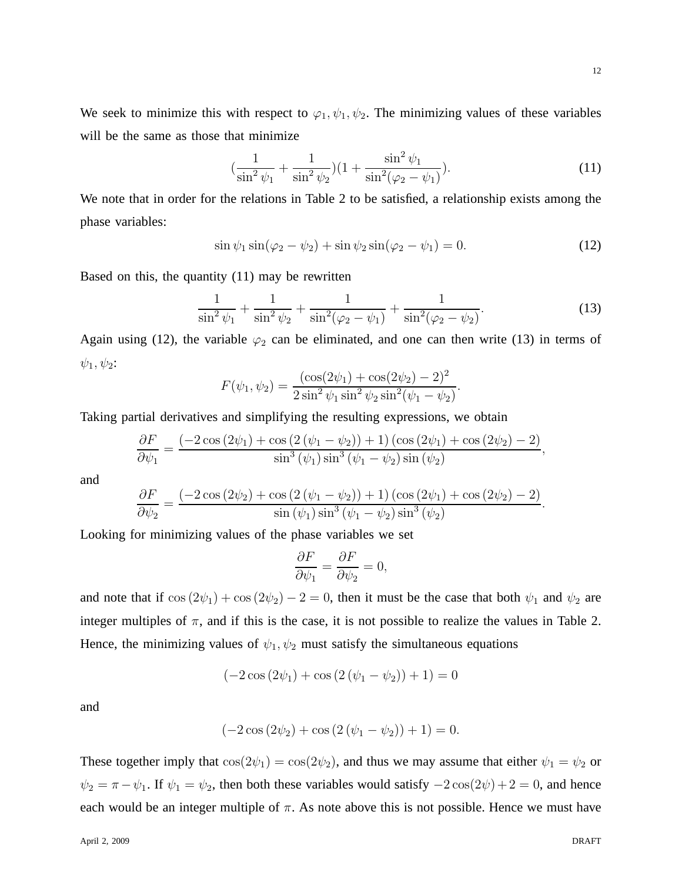12

We seek to minimize this with respect to  $\varphi_1, \psi_1, \psi_2$ . The minimizing values of these variables will be the same as those that minimize

$$
\left(\frac{1}{\sin^2\psi_1} + \frac{1}{\sin^2\psi_2}\right)(1 + \frac{\sin^2\psi_1}{\sin^2(\varphi_2 - \psi_1)}).
$$
\n(11)

We note that in order for the relations in Table 2 to be satisfied, a relationship exists among the phase variables:

$$
\sin \psi_1 \sin(\varphi_2 - \psi_2) + \sin \psi_2 \sin(\varphi_2 - \psi_1) = 0.
$$
 (12)

Based on this, the quantity (11) may be rewritten

$$
\frac{1}{\sin^2 \psi_1} + \frac{1}{\sin^2 \psi_2} + \frac{1}{\sin^2 (\varphi_2 - \psi_1)} + \frac{1}{\sin^2 (\varphi_2 - \psi_2)}.
$$
 (13)

Again using (12), the variable  $\varphi_2$  can be eliminated, and one can then write (13) in terms of  $\psi_1, \psi_2$ :

$$
F(\psi_1, \psi_2) = \frac{(\cos(2\psi_1) + \cos(2\psi_2) - 2)^2}{2\sin^2\psi_1\sin^2\psi_2\sin^2(\psi_1 - \psi_2)}.
$$

Taking partial derivatives and simplifying the resulting expressions, we obtain

$$
\frac{\partial F}{\partial \psi_1} = \frac{(-2\cos(2\psi_1) + \cos(2(\psi_1 - \psi_2)) + 1)\cos(2\psi_1) + \cos(2\psi_2) - 2)}{\sin^3(\psi_1)\sin^3(\psi_1 - \psi_2)\sin(\psi_2)},
$$

and

$$
\frac{\partial F}{\partial \psi_2} = \frac{(-2\cos(2\psi_2) + \cos(2(\psi_1 - \psi_2)) + 1)\left(\cos(2\psi_1) + \cos(2\psi_2) - 2\right)}{\sin(\psi_1)\sin^3(\psi_1 - \psi_2)\sin^3(\psi_2)}.
$$

Looking for minimizing values of the phase variables we set

$$
\frac{\partial F}{\partial \psi_1} = \frac{\partial F}{\partial \psi_2} = 0,
$$

and note that if  $\cos(2\psi_1) + \cos(2\psi_2) - 2 = 0$ , then it must be the case that both  $\psi_1$  and  $\psi_2$  are integer multiples of  $\pi$ , and if this is the case, it is not possible to realize the values in Table 2. Hence, the minimizing values of  $\psi_1, \psi_2$  must satisfy the simultaneous equations

$$
(-2\cos(2\psi_1) + \cos(2(\psi_1 - \psi_2)) + 1) = 0
$$

and

$$
(-2\cos(2\psi_2) + \cos(2(\psi_1 - \psi_2)) + 1) = 0.
$$

These together imply that  $cos(2\psi_1) = cos(2\psi_2)$ , and thus we may assume that either  $\psi_1 = \psi_2$  or  $\psi_2 = \pi - \psi_1$ . If  $\psi_1 = \psi_2$ , then both these variables would satisfy  $-2\cos(2\psi) + 2 = 0$ , and hence each would be an integer multiple of  $\pi$ . As note above this is not possible. Hence we must have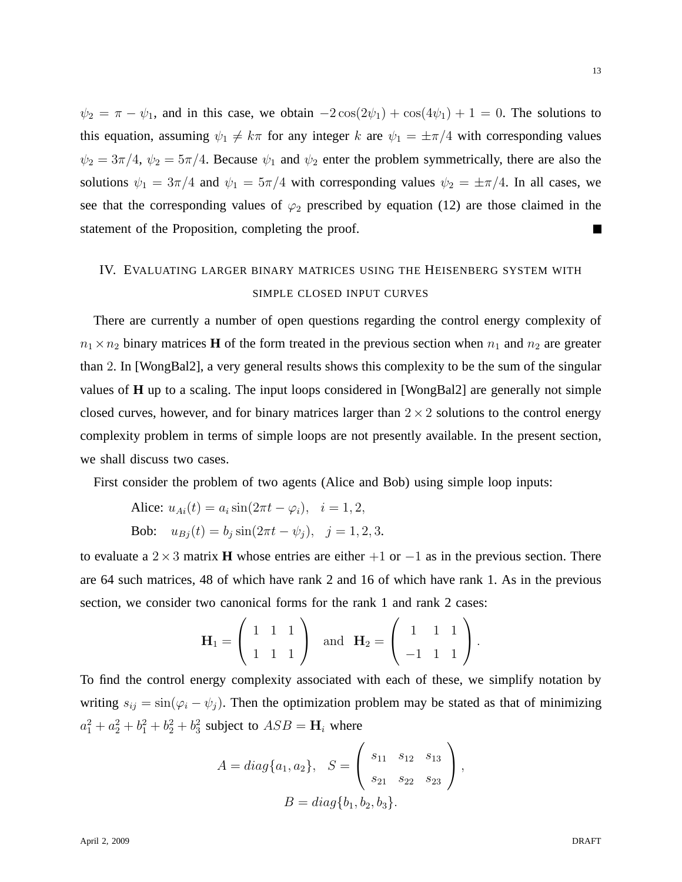$\psi_2 = \pi - \psi_1$ , and in this case, we obtain  $-2\cos(2\psi_1) + \cos(4\psi_1) + 1 = 0$ . The solutions to this equation, assuming  $\psi_1 \neq k\pi$  for any integer k are  $\psi_1 = \pm \pi/4$  with corresponding values  $\psi_2 = 3\pi/4$ ,  $\psi_2 = 5\pi/4$ . Because  $\psi_1$  and  $\psi_2$  enter the problem symmetrically, there are also the solutions  $\psi_1 = 3\pi/4$  and  $\psi_1 = 5\pi/4$  with corresponding values  $\psi_2 = \pm \pi/4$ . In all cases, we see that the corresponding values of  $\varphi_2$  prescribed by equation (12) are those claimed in the statement of the Proposition, completing the proof.

## IV. EVALUATING LARGER BINARY MATRICES USING THE HEISENBERG SYSTEM WITH SIMPLE CLOSED INPUT CURVES

There are currently a number of open questions regarding the control energy complexity of  $n_1 \times n_2$  binary matrices **H** of the form treated in the previous section when  $n_1$  and  $n_2$  are greater than 2. In [WongBal2], a very general results shows this complexity to be the sum of the singular values of **H** up to a scaling. The input loops considered in [WongBal2] are generally not simple closed curves, however, and for binary matrices larger than  $2 \times 2$  solutions to the control energy complexity problem in terms of simple loops are not presently available. In the present section, we shall discuss two cases.

First consider the problem of two agents (Alice and Bob) using simple loop inputs:

Alice: 
$$
u_{Ai}(t) = a_i \sin(2\pi t - \varphi_i), \quad i = 1, 2,
$$
  
Bob:  $u_{Bj}(t) = b_j \sin(2\pi t - \psi_j), \quad j = 1, 2, 3.$ 

to evaluate a 2  $\times$  3 matrix **H** whose entries are either +1 or −1 as in the previous section. There are 64 such matrices, 48 of which have rank 2 and 16 of which have rank 1. As in the previous section, we consider two canonical forms for the rank 1 and rank 2 cases:

$$
\mathbf{H}_1 = \left( \begin{array}{rrr} 1 & 1 & 1 \\ 1 & 1 & 1 \end{array} \right) \text{ and } \mathbf{H}_2 = \left( \begin{array}{rrr} 1 & 1 & 1 \\ -1 & 1 & 1 \end{array} \right).
$$

To find the control energy complexity associated with each of these, we simplify notation by writing  $s_{ij} = \sin(\varphi_i - \psi_j)$ . Then the optimization problem may be stated as that of minimizing  $a_1^2 + a_2^2 + b_1^2 + b_2^2 + b_3^2$  subject to  $ASB = H_i$  where

$$
A = diag\{a_1, a_2\}, \quad S = \begin{pmatrix} s_{11} & s_{12} & s_{13} \\ s_{21} & s_{22} & s_{23} \end{pmatrix},
$$

$$
B = diag\{b_1, b_2, b_3\}.
$$

13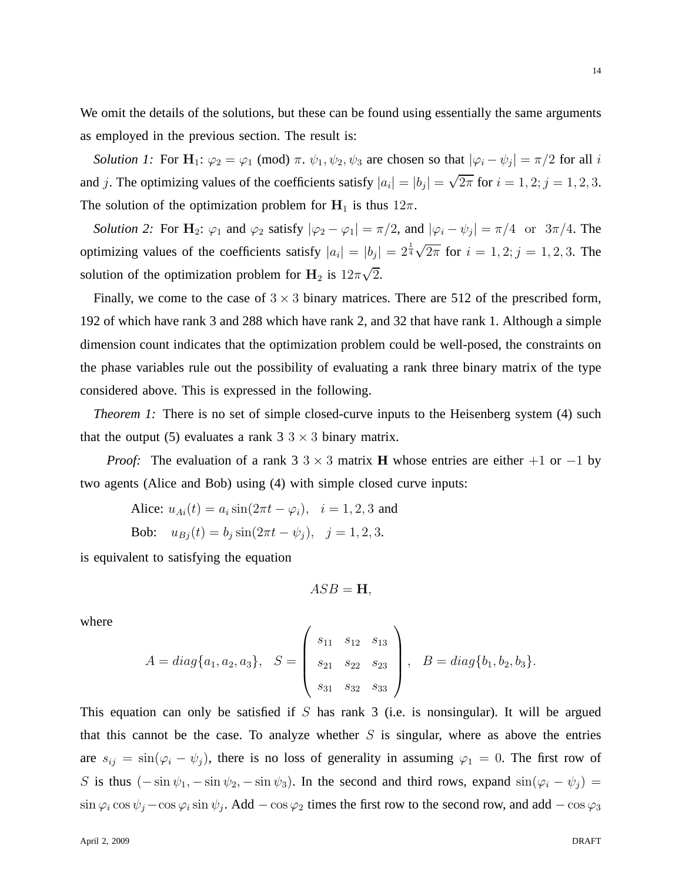14

We omit the details of the solutions, but these can be found using essentially the same arguments as employed in the previous section. The result is:

*Solution 1:* For  $H_1: \varphi_2 = \varphi_1 \pmod{\pi}$ .  $\psi_1, \psi_2, \psi_3$  are chosen so that  $|\varphi_i - \psi_j| = \pi/2$  for all i and j. The optimizing values of the coefficients satisfy  $|a_i| = |b_j| = \sqrt{2\pi}$  for  $i = 1, 2; j = 1, 2, 3$ . The solution of the optimization problem for  $H_1$  is thus  $12\pi$ .

*Solution 2:* For  $\mathbf{H}_2$ :  $\varphi_1$  and  $\varphi_2$  satisfy  $|\varphi_2 - \varphi_1| = \pi/2$ , and  $|\varphi_i - \psi_j| = \pi/4$  or  $3\pi/4$ . The optimizing values of the coefficients satisfy  $|a_i| = |b_j| = 2^{\frac{1}{4}}\sqrt{2\pi}$  for  $i = 1, 2; j = 1, 2, 3$ . The solution of the optimization problem for  $H_2$  is  $12\pi\sqrt{2}$ .

Finally, we come to the case of  $3 \times 3$  binary matrices. There are 512 of the prescribed form, 192 of which have rank 3 and 288 which have rank 2, and 32 that have rank 1. Although a simple dimension count indicates that the optimization problem could be well-posed, the constraints on the phase variables rule out the possibility of evaluating a rank three binary matrix of the type considered above. This is expressed in the following.

*Theorem 1:* There is no set of simple closed-curve inputs to the Heisenberg system (4) such that the output (5) evaluates a rank  $3 \times 3$  binary matrix.

*Proof:* The evaluation of a rank 3 3  $\times$  3 matrix **H** whose entries are either +1 or −1 by two agents (Alice and Bob) using (4) with simple closed curve inputs:

Alice:  $u_{Ai}(t) = a_i \sin(2\pi t - \varphi_i), \quad i = 1, 2, 3$  and

Bob:  $u_{Bj}(t) = b_j \sin(2\pi t - \psi_j), \quad j = 1, 2, 3.$ 

is equivalent to satisfying the equation

$$
ASB = \mathbf{H},
$$

where

$$
A = diag\{a_1, a_2, a_3\}, \quad S = \begin{pmatrix} s_{11} & s_{12} & s_{13} \\ s_{21} & s_{22} & s_{23} \\ s_{31} & s_{32} & s_{33} \end{pmatrix}, \quad B = diag\{b_1, b_2, b_3\}.
$$

This equation can only be satisfied if  $S$  has rank 3 (i.e. is nonsingular). It will be argued that this cannot be the case. To analyze whether  $S$  is singular, where as above the entries are  $s_{ij} = \sin(\varphi_i - \psi_j)$ , there is no loss of generality in assuming  $\varphi_1 = 0$ . The first row of S is thus  $(-\sin \psi_1, -\sin \psi_2, -\sin \psi_3)$ . In the second and third rows, expand  $\sin(\varphi_i - \psi_j)$  =  $\sin \varphi_i \cos \psi_j - \cos \varphi_i \sin \psi_j$ . Add  $-\cos \varphi_2$  times the first row to the second row, and add  $-\cos \varphi_3$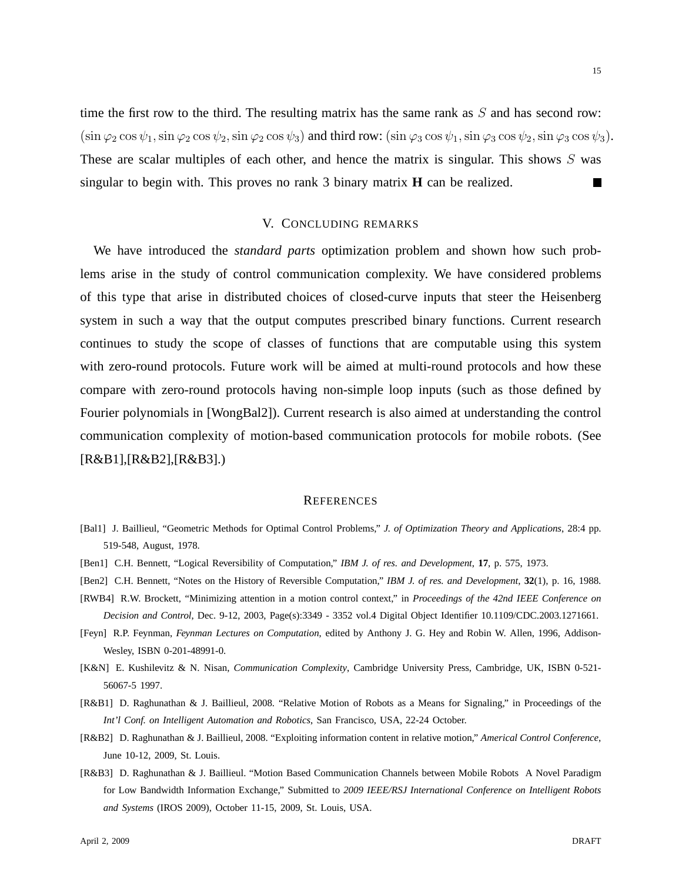time the first row to the third. The resulting matrix has the same rank as  $S$  and has second row:  $(\sin \varphi_2 \cos \psi_1, \sin \varphi_2 \cos \psi_2, \sin \varphi_2 \cos \psi_3)$  and third row:  $(\sin \varphi_3 \cos \psi_1, \sin \varphi_3 \cos \psi_2, \sin \varphi_3 \cos \psi_3)$ . These are scalar multiples of each other, and hence the matrix is singular. This shows  $S$  was singular to begin with. This proves no rank 3 binary matrix **H** can be realized.

#### V. CONCLUDING REMARKS

We have introduced the *standard parts* optimization problem and shown how such problems arise in the study of control communication complexity. We have considered problems of this type that arise in distributed choices of closed-curve inputs that steer the Heisenberg system in such a way that the output computes prescribed binary functions. Current research continues to study the scope of classes of functions that are computable using this system with zero-round protocols. Future work will be aimed at multi-round protocols and how these compare with zero-round protocols having non-simple loop inputs (such as those defined by Fourier polynomials in [WongBal2]). Current research is also aimed at understanding the control communication complexity of motion-based communication protocols for mobile robots. (See [R&B1],[R&B2],[R&B3].)

#### **REFERENCES**

- [Bal1] J. Baillieul, "Geometric Methods for Optimal Control Problems," *J. of Optimization Theory and Applications*, 28:4 pp. 519-548, August, 1978.
- [Ben1] C.H. Bennett, "Logical Reversibility of Computation," *IBM J. of res. and Development*, **17**, p. 575, 1973.
- [Ben2] C.H. Bennett, "Notes on the History of Reversible Computation," *IBM J. of res. and Development*, **32**(1), p. 16, 1988.
- [RWB4] R.W. Brockett, "Minimizing attention in a motion control context," in *Proceedings of the 42nd IEEE Conference on Decision and Control*, Dec. 9-12, 2003, Page(s):3349 - 3352 vol.4 Digital Object Identifier 10.1109/CDC.2003.1271661.
- [Feyn] R.P. Feynman, *Feynman Lectures on Computation*, edited by Anthony J. G. Hey and Robin W. Allen, 1996, Addison-Wesley, ISBN 0-201-48991-0.
- [K&N] E. Kushilevitz & N. Nisan, *Communication Complexity*, Cambridge University Press, Cambridge, UK, ISBN 0-521- 56067-5 1997.
- [R&B1] D. Raghunathan & J. Baillieul, 2008. "Relative Motion of Robots as a Means for Signaling," in Proceedings of the *Int'l Conf. on Intelligent Automation and Robotics*, San Francisco, USA, 22-24 October.
- [R&B2] D. Raghunathan & J. Baillieul, 2008. "Exploiting information content in relative motion," *Americal Control Conference*, June 10-12, 2009, St. Louis.
- [R&B3] D. Raghunathan & J. Baillieul. "Motion Based Communication Channels between Mobile Robots A Novel Paradigm for Low Bandwidth Information Exchange," Submitted to *2009 IEEE/RSJ International Conference on Intelligent Robots and Systems* (IROS 2009), October 11-15, 2009, St. Louis, USA.